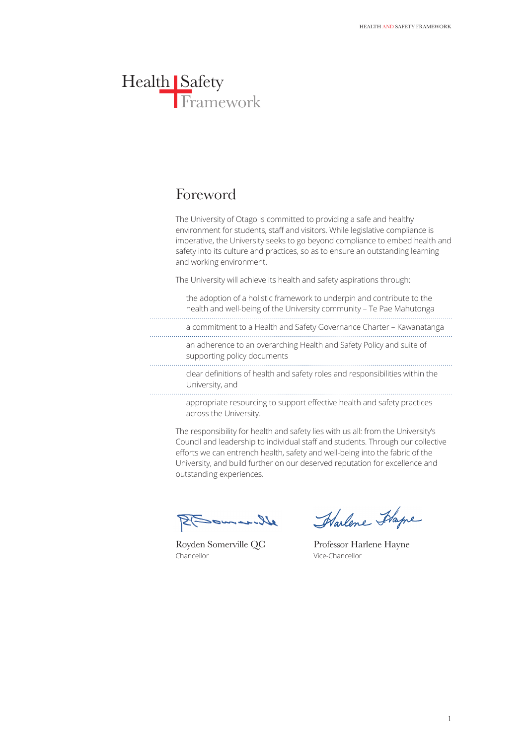## Foreword

The University of Otago is committed to providing a safe and healthy environment for students, staff and visitors. While legislative compliance is imperative, the University seeks to go beyond compliance to embed health and safety into its culture and practices, so as to ensure an outstanding learning and working environment.

The University will achieve its health and safety aspirations through:

| the adoption of a holistic framework to underpin and contribute to the<br>health and well-being of the University community - Te Pae Mahutonga |
|------------------------------------------------------------------------------------------------------------------------------------------------|
| a commitment to a Health and Safety Governance Charter - Kawanatanga                                                                           |
| an adherence to an overarching Health and Safety Policy and suite of<br>supporting policy documents                                            |
| clear definitions of health and safety roles and responsibilities within the<br>University, and                                                |
| appropriate resourcing to support effective health and safety practices<br>across the University.                                              |

The responsibility for health and safety lies with us all: from the University's Council and leadership to individual staff and students. Through our collective efforts we can entrench health, safety and well-being into the fabric of the University, and build further on our deserved reputation for excellence and

Wiemacht

outstanding experiences.

Chancellor Vice-Chancellor

Harlene Happe

Royden Somerville QC Professor Harlene Hayne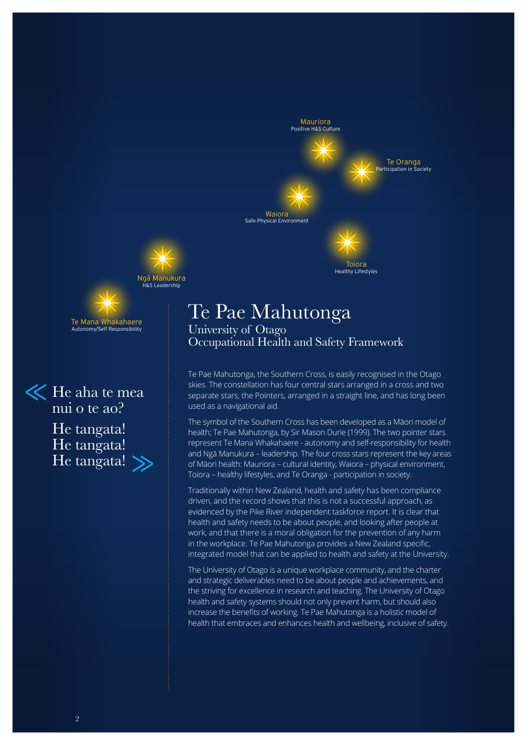

Toiora Healthy Lifestyles



Te Mana Whakahaere Autonomy/Self Responsibility

He aha te mea nui o te ao? He tangata! He tangata! He tangata!

# Te Pae Mahutonga

University of Otago Occupational Health and Safety Framework

Te Pae Mahutonga, the Southern Cross, is easily recognised in the Otago skies. The constellation has four central stars arranged in a cross and two separate stars, the Pointers, arranged in a straight line, and has long been used as a navigational aid.

The symbol of the Southern Cross has been developed as a Māori model of health; Te Pae Mahutonga, by Sir Mason Durie (1999). The two pointer stars represent Te Mana Whakahaere - autonomy and self-responsibility for health and Ngā Manukura – leadership. The four cross stars represent the key areas of Māori health: Mauriora – cultural identity, Waiora – physical environment, Toiora – healthy lifestyles, and Te Oranga - participation in society.

Traditionally within New Zealand, health and safety has been compliance driven, and the record shows that this is not a successful approach, as evidenced by the Pike River independent taskforce report. It is clear that health and safety needs to be about people, and looking after people at work, and that there is a moral obligation for the prevention of any harm in the workplace. Te Pae Mahutonga provides a New Zealand specific, integrated model that can be applied to health and safety at the University.

The University of Otago is a unique workplace community, and the charter and strategic deliverables need to be about people and achievements, and the striving for excellence in research and teaching. The University of Otago health and safety systems should not only prevent harm, but should also increase the benefits of working. Te Pae Mahutonga is a holistic model of health that embraces and enhances health and wellbeing, inclusive of safety.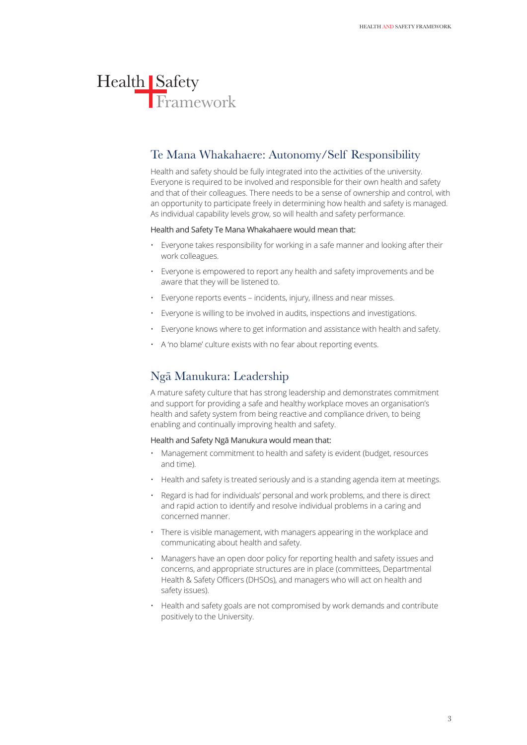## Te Mana Whakahaere: Autonomy/Self Responsibility

Health and safety should be fully integrated into the activities of the university. Everyone is required to be involved and responsible for their own health and safety and that of their colleagues. There needs to be a sense of ownership and control, with an opportunity to participate freely in determining how health and safety is managed. As individual capability levels grow, so will health and safety performance.

#### Health and Safety Te Mana Whakahaere would mean that:

- Everyone takes responsibility for working in a safe manner and looking after their work colleagues.
- Everyone is empowered to report any health and safety improvements and be aware that they will be listened to.
- Everyone reports events incidents, injury, illness and near misses.
- Everyone is willing to be involved in audits, inspections and investigations.
- Everyone knows where to get information and assistance with health and safety.
- A 'no blame' culture exists with no fear about reporting events.

## Ngā Manukura: Leadership

A mature safety culture that has strong leadership and demonstrates commitment and support for providing a safe and healthy workplace moves an organisation's health and safety system from being reactive and compliance driven, to being enabling and continually improving health and safety.

#### Health and Safety Ngā Manukura would mean that:

- Management commitment to health and safety is evident (budget, resources and time).
- Health and safety is treated seriously and is a standing agenda item at meetings.
- Regard is had for individuals' personal and work problems, and there is direct and rapid action to identify and resolve individual problems in a caring and concerned manner.
- There is visible management, with managers appearing in the workplace and communicating about health and safety.
- Managers have an open door policy for reporting health and safety issues and concerns, and appropriate structures are in place (committees, Departmental Health & Safety Officers (DHSOs), and managers who will act on health and safety issues).
- Health and safety goals are not compromised by work demands and contribute positively to the University.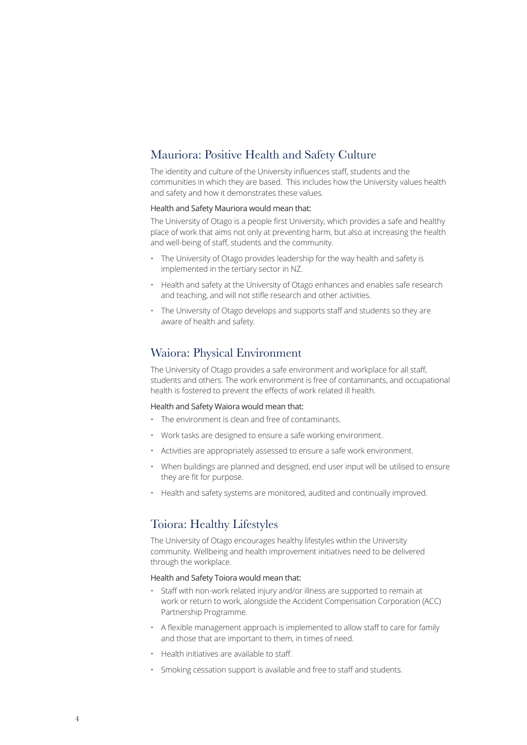## Mauriora: Positive Health and Safety Culture

The identity and culture of the University influences staff, students and the communities in which they are based. This includes how the University values health and safety and how it demonstrates these values.

#### Health and Safety Mauriora would mean that:

The University of Otago is a people first University, which provides a safe and healthy place of work that aims not only at preventing harm, but also at increasing the health and well-being of staff, students and the community.

- The University of Otago provides leadership for the way health and safety is implemented in the tertiary sector in NZ.
- Health and safety at the University of Otago enhances and enables safe research and teaching, and will not stifle research and other activities.
- The University of Otago develops and supports staff and students so they are aware of health and safety.

### Waiora: Physical Environment

The University of Otago provides a safe environment and workplace for all staff, students and others. The work environment is free of contaminants, and occupational health is fostered to prevent the effects of work related ill health.

#### Health and Safety Waiora would mean that:

- The environment is clean and free of contaminants.
- Work tasks are designed to ensure a safe working environment.
- Activities are appropriately assessed to ensure a safe work environment.
- When buildings are planned and designed, end user input will be utilised to ensure they are fit for purpose.
- Health and safety systems are monitored, audited and continually improved.

## Toiora: Healthy Lifestyles

The University of Otago encourages healthy lifestyles within the University community. Wellbeing and health improvement initiatives need to be delivered through the workplace.

#### Health and Safety Toiora would mean that:

- Staff with non-work related injury and/or illness are supported to remain at work or return to work, alongside the Accident Compensation Corporation (ACC) Partnership Programme.
- A flexible management approach is implemented to allow staff to care for family and those that are important to them, in times of need.
- Health initiatives are available to staff.
- Smoking cessation support is available and free to staff and students.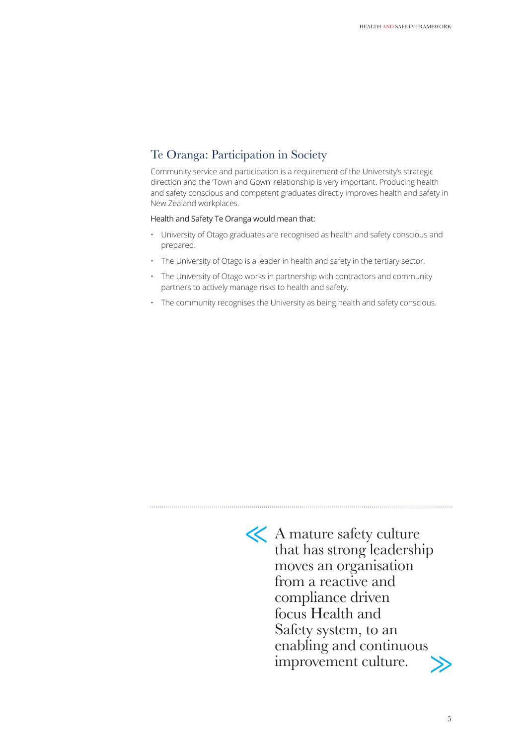## Te Oranga: Participation in Society

Community service and participation is a requirement of the University's strategic direction and the 'Town and Gown' relationship is very important. Producing health and safety conscious and competent graduates directly improves health and safety in New Zealand workplaces.

#### Health and Safety Te Oranga would mean that:

- University of Otago graduates are recognised as health and safety conscious and prepared.
- The University of Otago is a leader in health and safety in the tertiary sector.
- The University of Otago works in partnership with contractors and community partners to actively manage risks to health and safety.
- The community recognises the University as being health and safety conscious.



A mature safety culture that has strong leadership moves an organisation from a reactive and compliance driven focus Health and Safety system, to an enabling and continuous improvement culture.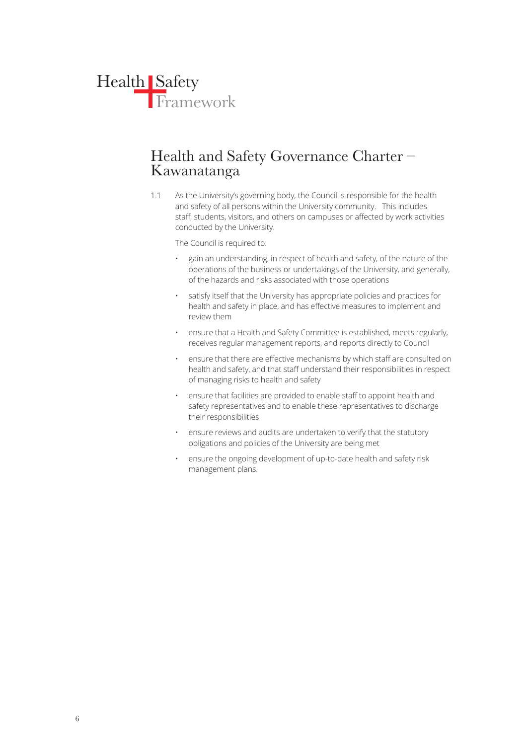

## Health and Safety Governance Charter – Kawanatanga

1.1 As the University's governing body, the Council is responsible for the health and safety of all persons within the University community. This includes staff, students, visitors, and others on campuses or affected by work activities conducted by the University.

The Council is required to:

- gain an understanding, in respect of health and safety, of the nature of the operations of the business or undertakings of the University, and generally, of the hazards and risks associated with those operations
- satisfy itself that the University has appropriate policies and practices for health and safety in place, and has effective measures to implement and review them
- ensure that a Health and Safety Committee is established, meets regularly, receives regular management reports, and reports directly to Council
- ensure that there are effective mechanisms by which staff are consulted on health and safety, and that staff understand their responsibilities in respect of managing risks to health and safety
- ensure that facilities are provided to enable staff to appoint health and safety representatives and to enable these representatives to discharge their responsibilities
- ensure reviews and audits are undertaken to verify that the statutory obligations and policies of the University are being met
- ensure the ongoing development of up-to-date health and safety risk management plans.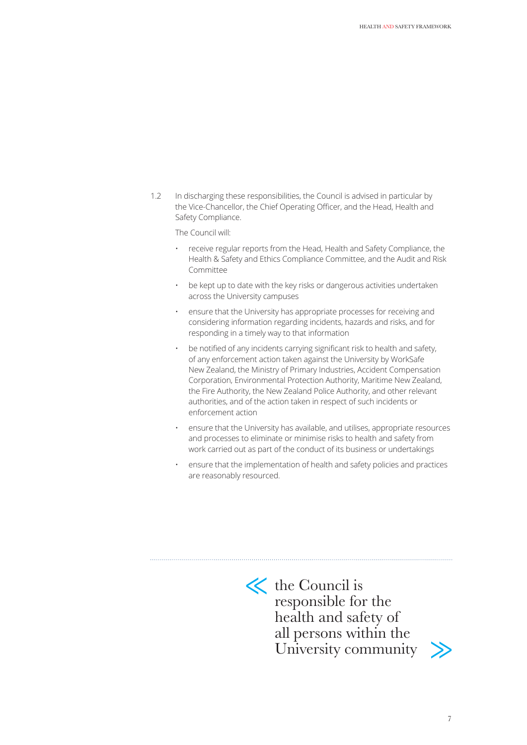1.2 In discharging these responsibilities, the Council is advised in particular by the Vice-Chancellor, the Chief Operating Officer, and the Head, Health and Safety Compliance.

The Council will:

- receive regular reports from the Head, Health and Safety Compliance, the Health & Safety and Ethics Compliance Committee, and the Audit and Risk Committee
- be kept up to date with the key risks or dangerous activities undertaken across the University campuses
- ensure that the University has appropriate processes for receiving and considering information regarding incidents, hazards and risks, and for responding in a timely way to that information
- be notified of any incidents carrying significant risk to health and safety, of any enforcement action taken against the University by WorkSafe New Zealand, the Ministry of Primary Industries, Accident Compensation Corporation, Environmental Protection Authority, Maritime New Zealand, the Fire Authority, the New Zealand Police Authority, and other relevant authorities, and of the action taken in respect of such incidents or enforcement action
- ensure that the University has available, and utilises, appropriate resources and processes to eliminate or minimise risks to health and safety from work carried out as part of the conduct of its business or undertakings
- ensure that the implementation of health and safety policies and practices are reasonably resourced.



 $\left\langle \right\rangle$  the Council is responsible for the health and safety of all persons within the University community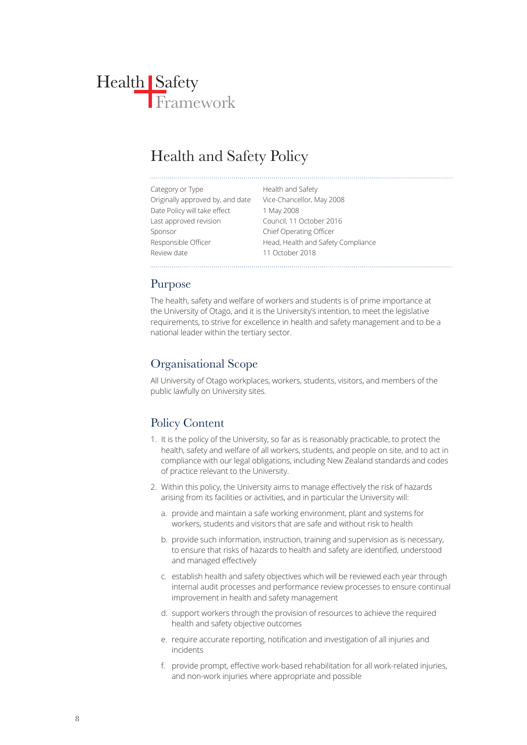## Health and Safety Policy

| Category or Type                 | Health and Safety                  |
|----------------------------------|------------------------------------|
| Originally approved by, and date | Vice-Chancellor, May 2008          |
| Date Policy will take effect     | 1 May 2008                         |
| Last approved revision           | Council, 11 October 2016           |
| Sponsor                          | <b>Chief Operating Officer</b>     |
| Responsible Officer              | Head, Health and Safety Compliance |
| Review date                      | 11 October 2018                    |

## Purpose

The health, safety and welfare of workers and students is of prime importance at the University of Otago, and it is the University's intention, to meet the legislative requirements, to strive for excellence in health and safety management and to be a national leader within the tertiary sector.

## Organisational Scope

All University of Otago workplaces, workers, students, visitors, and members of the public lawfully on University sites.

## Policy Content

- 1. It is the policy of the University, so far as is reasonably practicable, to protect the health, safety and welfare of all workers, students, and people on site, and to act in compliance with our legal obligations, including New Zealand standards and codes of practice relevant to the University.
- 2. Within this policy, the University aims to manage effectively the risk of hazards arising from its facilities or activities, and in particular the University will:
	- a. provide and maintain a safe working environment, plant and systems for workers, students and visitors that are safe and without risk to health
	- b. provide such information, instruction, training and supervision as is necessary, to ensure that risks of hazards to health and safety are identified, understood and managed effectively
	- c. establish health and safety objectives which will be reviewed each year through internal audit processes and performance review processes to ensure continual improvement in health and safety management
	- d. support workers through the provision of resources to achieve the required health and safety objective outcomes
	- e. require accurate reporting, notification and investigation of all injuries and incidents
	- f. provide prompt, effective work-based rehabilitation for all work-related injuries, and non-work injuries where appropriate and possible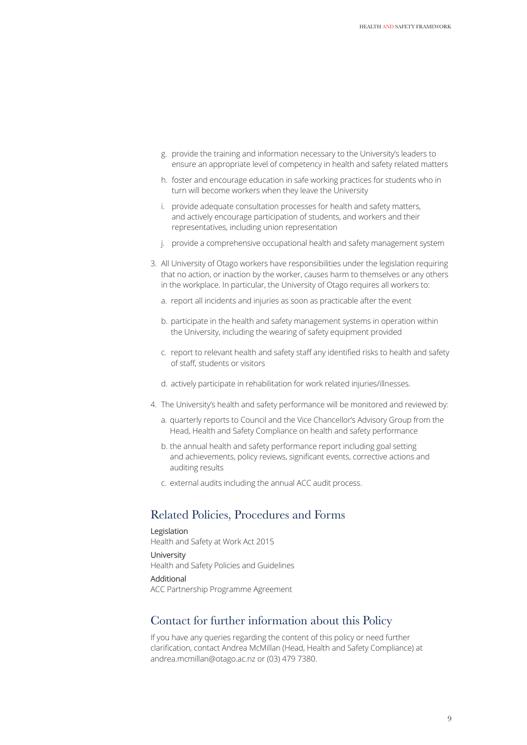- g. provide the training and information necessary to the University's leaders to ensure an appropriate level of competency in health and safety related matters
- h. foster and encourage education in safe working practices for students who in turn will become workers when they leave the University
- i. provide adequate consultation processes for health and safety matters, and actively encourage participation of students, and workers and their representatives, including union representation
- j. provide a comprehensive occupational health and safety management system
- 3. All University of Otago workers have responsibilities under the legislation requiring that no action, or inaction by the worker, causes harm to themselves or any others in the workplace. In particular, the University of Otago requires all workers to:
	- a. report all incidents and injuries as soon as practicable after the event
	- b. participate in the health and safety management systems in operation within the University, including the wearing of safety equipment provided
	- c. report to relevant health and safety staff any identified risks to health and safety of staff, students or visitors
	- d. actively participate in rehabilitation for work related injuries/illnesses.
- 4. The University's health and safety performance will be monitored and reviewed by:
	- a. quarterly reports to Council and the Vice Chancellor's Advisory Group from the Head, Health and Safety Compliance on health and safety performance
	- b. the annual health and safety performance report including goal setting and achievements, policy reviews, significant events, corrective actions and auditing results
	- c. external audits including the annual ACC audit process.

### Related Policies, Procedures and Forms

Legislation Health and Safety at Work Act 2015 University Health and Safety Policies and Guidelines Additional

ACC Partnership Programme Agreement

#### Contact for further information about this Policy

If you have any queries regarding the content of this policy or need further clarification, contact Andrea McMillan (Head, Health and Safety Compliance) at andrea.mcmillan@otago.ac.nz or (03) 479 7380.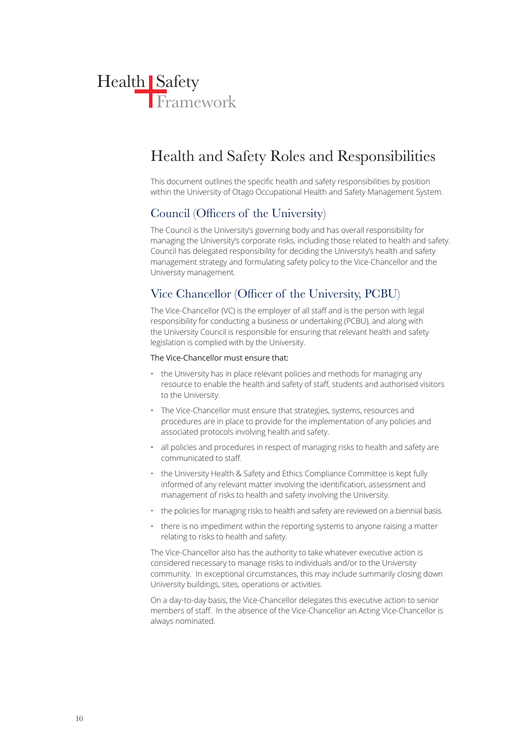

## Health and Safety Roles and Responsibilities

This document outlines the specific health and safety responsibilities by position within the University of Otago Occupational Health and Safety Management System.

## Council (Officers of the University)

The Council is the University's governing body and has overall responsibility for managing the University's corporate risks, including those related to health and safety. Council has delegated responsibility for deciding the University's health and safety management strategy and formulating safety policy to the Vice-Chancellor and the University management.

## Vice Chancellor (Officer of the University, PCBU)

The Vice-Chancellor (VC) is the employer of all staff and is the person with legal responsibility for conducting a business or undertaking (PCBU), and along with the University Council is responsible for ensuring that relevant health and safety legislation is complied with by the University.

#### The Vice-Chancellor must ensure that:

- the University has in place relevant policies and methods for managing any resource to enable the health and safety of staff, students and authorised visitors to the University.
- The Vice-Chancellor must ensure that strategies, systems, resources and procedures are in place to provide for the implementation of any policies and associated protocols involving health and safety.
- all policies and procedures in respect of managing risks to health and safety are communicated to staff.
- the University Health & Safety and Ethics Compliance Committee is kept fully informed of any relevant matter involving the identification, assessment and management of risks to health and safety involving the University.
- the policies for managing risks to health and safety are reviewed on a biennial basis.
- there is no impediment within the reporting systems to anyone raising a matter relating to risks to health and safety.

The Vice-Chancellor also has the authority to take whatever executive action is considered necessary to manage risks to individuals and/or to the University community. In exceptional circumstances, this may include summarily closing down University buildings, sites, operations or activities.

On a day-to-day basis, the Vice-Chancellor delegates this executive action to senior members of staff. In the absence of the Vice-Chancellor an Acting Vice-Chancellor is always nominated.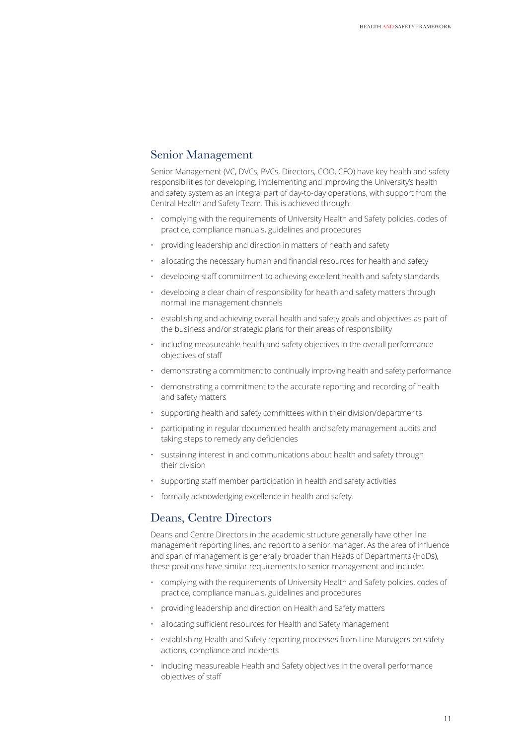## Senior Management

Senior Management (VC, DVCs, PVCs, Directors, COO, CFO) have key health and safety responsibilities for developing, implementing and improving the University's health and safety system as an integral part of day-to-day operations, with support from the Central Health and Safety Team. This is achieved through:

- complying with the requirements of University Health and Safety policies, codes of practice, compliance manuals, guidelines and procedures
- providing leadership and direction in matters of health and safety
- allocating the necessary human and financial resources for health and safety
- developing staff commitment to achieving excellent health and safety standards
- developing a clear chain of responsibility for health and safety matters through normal line management channels
- establishing and achieving overall health and safety goals and objectives as part of the business and/or strategic plans for their areas of responsibility
- including measureable health and safety objectives in the overall performance objectives of staff
- demonstrating a commitment to continually improving health and safety performance
- demonstrating a commitment to the accurate reporting and recording of health and safety matters
- supporting health and safety committees within their division/departments
- participating in regular documented health and safety management audits and taking steps to remedy any deficiencies
- sustaining interest in and communications about health and safety through their division
- supporting staff member participation in health and safety activities
- formally acknowledging excellence in health and safety.

### Deans, Centre Directors

Deans and Centre Directors in the academic structure generally have other line management reporting lines, and report to a senior manager. As the area of influence and span of management is generally broader than Heads of Departments (HoDs), these positions have similar requirements to senior management and include:

- complying with the requirements of University Health and Safety policies, codes of practice, compliance manuals, guidelines and procedures
- providing leadership and direction on Health and Safety matters
- allocating sufficient resources for Health and Safety management
- establishing Health and Safety reporting processes from Line Managers on safety actions, compliance and incidents
- including measureable Health and Safety objectives in the overall performance objectives of staff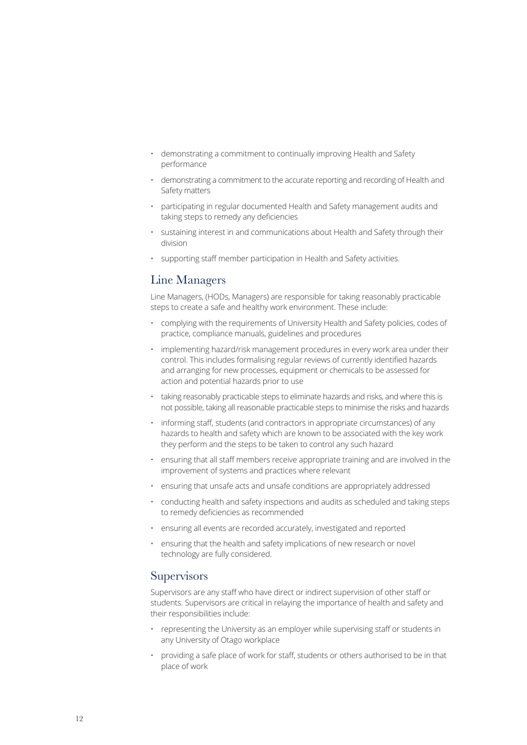- demonstrating a commitment to continually improving Health and Safety performance
- demonstrating a commitment to the accurate reporting and recording of Health and Safety matters
- participating in regular documented Health and Safety management audits and taking steps to remedy any deficiencies
- sustaining interest in and communications about Health and Safety through their division
- supporting staff member participation in Health and Safety activities.

### Line Managers

Line Managers, (HODs, Managers) are responsible for taking reasonably practicable steps to create a safe and healthy work environment. These include:

- complying with the requirements of University Health and Safety policies, codes of practice, compliance manuals, guidelines and procedures
- implementing hazard/risk management procedures in every work area under their control. This includes formalising regular reviews of currently identified hazards and arranging for new processes, equipment or chemicals to be assessed for action and potential hazards prior to use
- taking reasonably practicable steps to eliminate hazards and risks, and where this is not possible, taking all reasonable practicable steps to minimise the risks and hazards
- informing staff, students (and contractors in appropriate circumstances) of any hazards to health and safety which are known to be associated with the key work they perform and the steps to be taken to control any such hazard
- ensuring that all staff members receive appropriate training and are involved in the improvement of systems and practices where relevant
- ensuring that unsafe acts and unsafe conditions are appropriately addressed
- conducting health and safety inspections and audits as scheduled and taking steps to remedy deficiencies as recommended
- ensuring all events are recorded accurately, investigated and reported
- ensuring that the health and safety implications of new research or novel technology are fully considered.

### **Supervisors**

Supervisors are any staff who have direct or indirect supervision of other staff or students. Supervisors are critical in relaying the importance of health and safety and their responsibilities include:

- representing the University as an employer while supervising staff or students in any University of Otago workplace
- providing a safe place of work for staff, students or others authorised to be in that place of work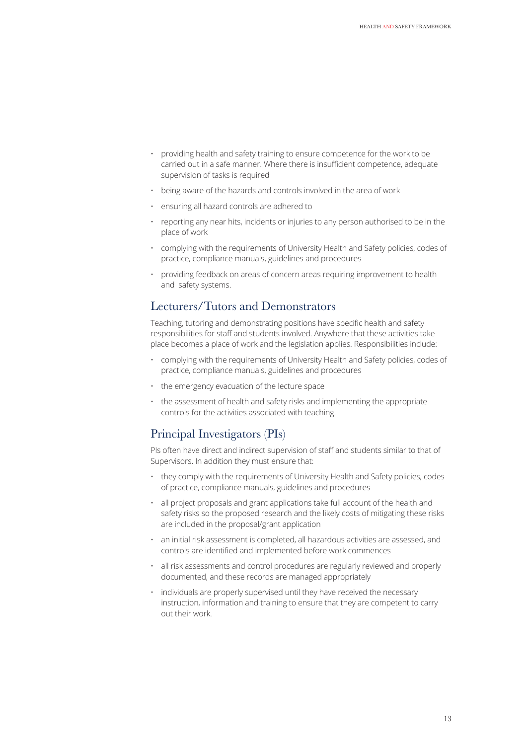- providing health and safety training to ensure competence for the work to be carried out in a safe manner. Where there is insufficient competence, adequate supervision of tasks is required
- being aware of the hazards and controls involved in the area of work
- ensuring all hazard controls are adhered to
- reporting any near hits, incidents or injuries to any person authorised to be in the place of work
- complying with the requirements of University Health and Safety policies, codes of practice, compliance manuals, guidelines and procedures
- providing feedback on areas of concern areas requiring improvement to health and safety systems.

### Lecturers/Tutors and Demonstrators

Teaching, tutoring and demonstrating positions have specific health and safety responsibilities for staff and students involved. Anywhere that these activities take place becomes a place of work and the legislation applies. Responsibilities include:

- complying with the requirements of University Health and Safety policies, codes of practice, compliance manuals, guidelines and procedures
- the emergency evacuation of the lecture space
- the assessment of health and safety risks and implementing the appropriate controls for the activities associated with teaching.

### Principal Investigators (PIs)

PIs often have direct and indirect supervision of staff and students similar to that of Supervisors. In addition they must ensure that:

- they comply with the requirements of University Health and Safety policies, codes of practice, compliance manuals, guidelines and procedures
- all project proposals and grant applications take full account of the health and safety risks so the proposed research and the likely costs of mitigating these risks are included in the proposal/grant application
- an initial risk assessment is completed, all hazardous activities are assessed, and controls are identified and implemented before work commences
- all risk assessments and control procedures are regularly reviewed and properly documented, and these records are managed appropriately
- individuals are properly supervised until they have received the necessary instruction, information and training to ensure that they are competent to carry out their work.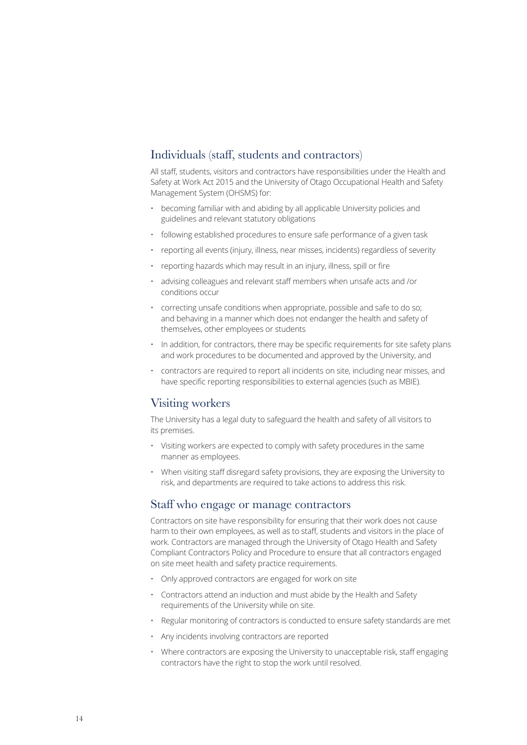## Individuals (staff, students and contractors)

All staff, students, visitors and contractors have responsibilities under the Health and Safety at Work Act 2015 and the University of Otago Occupational Health and Safety Management System (OHSMS) for:

- becoming familiar with and abiding by all applicable University policies and guidelines and relevant statutory obligations
- following established procedures to ensure safe performance of a given task
- reporting all events (injury, illness, near misses, incidents) regardless of severity
- reporting hazards which may result in an injury, illness, spill or fire
- advising colleagues and relevant staff members when unsafe acts and /or conditions occur
- correcting unsafe conditions when appropriate, possible and safe to do so; and behaving in a manner which does not endanger the health and safety of themselves, other employees or students
- In addition, for contractors, there may be specific requirements for site safety plans and work procedures to be documented and approved by the University, and
- contractors are required to report all incidents on site, including near misses, and have specific reporting responsibilities to external agencies (such as MBIE).

### Visiting workers

The University has a legal duty to safeguard the health and safety of all visitors to its premises.

- Visiting workers are expected to comply with safety procedures in the same manner as employees.
- When visiting staff disregard safety provisions, they are exposing the University to risk, and departments are required to take actions to address this risk.

#### Staff who engage or manage contractors

Contractors on site have responsibility for ensuring that their work does not cause harm to their own employees, as well as to staff, students and visitors in the place of work. Contractors are managed through the University of Otago Health and Safety Compliant Contractors Policy and Procedure to ensure that all contractors engaged on site meet health and safety practice requirements.

- Only approved contractors are engaged for work on site
- Contractors attend an induction and must abide by the Health and Safety requirements of the University while on site.
- Regular monitoring of contractors is conducted to ensure safety standards are met
- Any incidents involving contractors are reported
- Where contractors are exposing the University to unacceptable risk, staff engaging contractors have the right to stop the work until resolved.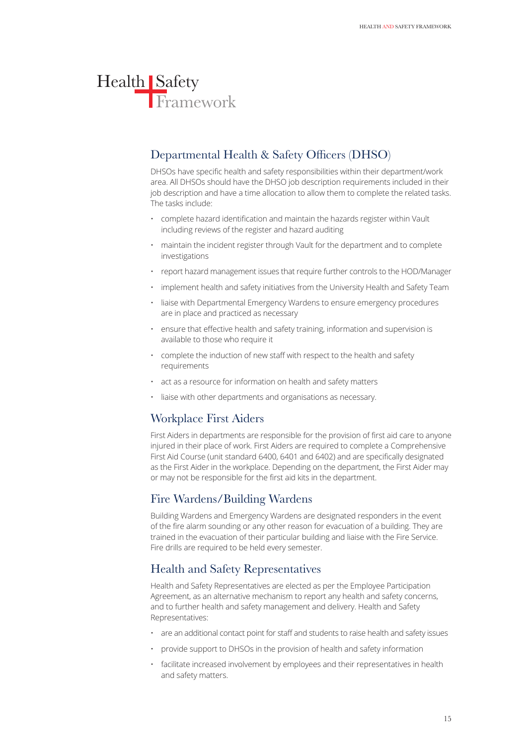## Departmental Health & Safety Officers (DHSO)

DHSOs have specific health and safety responsibilities within their department/work area. All DHSOs should have the DHSO job description requirements included in their job description and have a time allocation to allow them to complete the related tasks. The tasks include:

- complete hazard identification and maintain the hazards register within Vault including reviews of the register and hazard auditing
- maintain the incident register through Vault for the department and to complete investigations
- report hazard management issues that require further controls to the HOD/Manager
- implement health and safety initiatives from the University Health and Safety Team
- liaise with Departmental Emergency Wardens to ensure emergency procedures are in place and practiced as necessary
- ensure that effective health and safety training, information and supervision is available to those who require it
- complete the induction of new staff with respect to the health and safety requirements
- act as a resource for information on health and safety matters
- liaise with other departments and organisations as necessary.

## Workplace First Aiders

First Aiders in departments are responsible for the provision of first aid care to anyone injured in their place of work. First Aiders are required to complete a Comprehensive First Aid Course (unit standard 6400, 6401 and 6402) and are specifically designated as the First Aider in the workplace. Depending on the department, the First Aider may or may not be responsible for the first aid kits in the department.

## Fire Wardens/Building Wardens

Building Wardens and Emergency Wardens are designated responders in the event of the fire alarm sounding or any other reason for evacuation of a building. They are trained in the evacuation of their particular building and liaise with the Fire Service. Fire drills are required to be held every semester.

## Health and Safety Representatives

Health and Safety Representatives are elected as per the Employee Participation Agreement, as an alternative mechanism to report any health and safety concerns, and to further health and safety management and delivery. Health and Safety Representatives:

- are an additional contact point for staff and students to raise health and safety issues
- provide support to DHSOs in the provision of health and safety information
- facilitate increased involvement by employees and their representatives in health and safety matters.